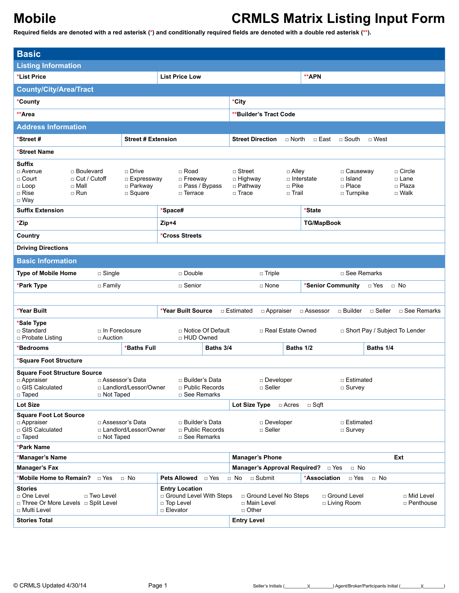| <b>Basic</b>                                                                                                                                                                                        |                                                                                                             |                           |                                                                                 |                           |                                                                                                                                     |                        |                                                                   |                                                     |                                                        |                    |                                 |
|-----------------------------------------------------------------------------------------------------------------------------------------------------------------------------------------------------|-------------------------------------------------------------------------------------------------------------|---------------------------|---------------------------------------------------------------------------------|---------------------------|-------------------------------------------------------------------------------------------------------------------------------------|------------------------|-------------------------------------------------------------------|-----------------------------------------------------|--------------------------------------------------------|--------------------|---------------------------------|
| <b>Listing Information</b>                                                                                                                                                                          |                                                                                                             |                           |                                                                                 |                           |                                                                                                                                     |                        |                                                                   |                                                     |                                                        |                    |                                 |
| *List Price                                                                                                                                                                                         |                                                                                                             |                           | <b>List Price Low</b>                                                           |                           |                                                                                                                                     |                        |                                                                   | **APN                                               |                                                        |                    |                                 |
| <b>County/City/Area/Tract</b>                                                                                                                                                                       |                                                                                                             |                           |                                                                                 |                           |                                                                                                                                     |                        |                                                                   |                                                     |                                                        |                    |                                 |
| *County                                                                                                                                                                                             |                                                                                                             |                           |                                                                                 |                           | *City                                                                                                                               |                        |                                                                   |                                                     |                                                        |                    |                                 |
| **Area                                                                                                                                                                                              |                                                                                                             |                           |                                                                                 |                           |                                                                                                                                     | **Builder's Tract Code |                                                                   |                                                     |                                                        |                    |                                 |
| <b>Address Information</b>                                                                                                                                                                          |                                                                                                             |                           |                                                                                 |                           |                                                                                                                                     |                        |                                                                   |                                                     |                                                        |                    |                                 |
| *Street #                                                                                                                                                                                           |                                                                                                             | <b>Street # Extension</b> |                                                                                 |                           | <b>Street Direction</b>                                                                                                             |                        | $\Box$ North                                                      |                                                     | $\Box$ East $\Box$ South                               | □ West             |                                 |
| *Street Name                                                                                                                                                                                        |                                                                                                             |                           |                                                                                 |                           |                                                                                                                                     |                        |                                                                   |                                                     |                                                        |                    |                                 |
| <b>Suffix</b><br>□ Avenue<br>□ Court<br>$\Box$ Loop<br>□ Mall<br>$\Box$ Rise<br>□ Run<br>$\Box$ Way                                                                                                 | $\Box$ Drive<br>□ Boulevard<br>□ Cut / Cutoff<br>$\Box$ Expressway<br>$\square$ Parkway<br>$\square$ Square |                           | □ Road<br>$\Box$ Freeway<br>□ Pass / Bypass<br>$\Box$ Terrace                   |                           | $\Box$ Street<br>$\Box$ Alley<br>□ Highway<br>$\Box$ Interstate<br>$\square$ Pike<br>$\Box$ Pathway<br>$\Box$ Trace<br>$\Box$ Trail |                        | □ Causeway<br>$\Box$ Island<br>$\Box$ Place<br>$\square$ Turnpike |                                                     | $\Box$ Circle<br>$\Box$ Lane<br>□ Plaza<br>$\Box$ Walk |                    |                                 |
| <b>Suffix Extension</b>                                                                                                                                                                             |                                                                                                             |                           | *Space#                                                                         |                           |                                                                                                                                     |                        |                                                                   | *State                                              |                                                        |                    |                                 |
| *Zip                                                                                                                                                                                                |                                                                                                             |                           | Zip+4                                                                           |                           |                                                                                                                                     |                        |                                                                   | <b>TG/MapBook</b>                                   |                                                        |                    |                                 |
| Country                                                                                                                                                                                             |                                                                                                             |                           | *Cross Streets                                                                  |                           |                                                                                                                                     |                        |                                                                   |                                                     |                                                        |                    |                                 |
| <b>Driving Directions</b>                                                                                                                                                                           |                                                                                                             |                           |                                                                                 |                           |                                                                                                                                     |                        |                                                                   |                                                     |                                                        |                    |                                 |
| <b>Basic Information</b>                                                                                                                                                                            |                                                                                                             |                           |                                                                                 |                           |                                                                                                                                     |                        |                                                                   |                                                     |                                                        |                    |                                 |
| <b>Type of Mobile Home</b><br>$\Box$ Single                                                                                                                                                         |                                                                                                             |                           |                                                                                 | □ Double<br>$\Box$ Triple |                                                                                                                                     |                        |                                                                   | $\Box$ See Remarks                                  |                                                        |                    |                                 |
| *Park Type                                                                                                                                                                                          | $\Box$ Family                                                                                               |                           | □ Senior                                                                        |                           | *Senior Community<br>□ None<br>□ Yes                                                                                                |                        |                                                                   | $\Box$ No                                           |                                                        |                    |                                 |
|                                                                                                                                                                                                     |                                                                                                             |                           |                                                                                 |                           |                                                                                                                                     |                        |                                                                   |                                                     |                                                        |                    |                                 |
| *Year Built                                                                                                                                                                                         |                                                                                                             |                           | *Year Built Source                                                              |                           | □ Estimated                                                                                                                         | □ Appraiser            |                                                                   | □ Assessor                                          |                                                        | □ Builder □ Seller | □ See Remarks                   |
| *Sale Type<br>□ Standard<br>□ Probate Listing                                                                                                                                                       | $\Box$ In Foreclosure<br>□ Auction                                                                          |                           | □ HUD Owned                                                                     | □ Notice Of Default       |                                                                                                                                     | □ Real Estate Owned    |                                                                   |                                                     |                                                        |                    | □ Short Pay / Subject To Lender |
| <b>'Bedrooms</b>                                                                                                                                                                                    |                                                                                                             | *Baths Full               |                                                                                 | Baths 3/4                 |                                                                                                                                     |                        | Baths 1/2                                                         |                                                     |                                                        | Baths 1/4          |                                 |
| *Square Foot Structure                                                                                                                                                                              |                                                                                                             |                           |                                                                                 |                           |                                                                                                                                     |                        |                                                                   |                                                     |                                                        |                    |                                 |
| <b>Square Foot Structure Source</b><br>$\Box$ Appraiser<br>□ GIS Calculated<br>□ Taped                                                                                                              | □ Assessor's Data<br>□ Not Taped                                                                            | □ Landlord/Lessor/Owner   | □ Builder's Data<br>$\Box$ Public Records<br>□ See Remarks                      |                           | Developer<br>□ Estimated<br>$\Box$ Seller<br>$\Box$ Survey                                                                          |                        |                                                                   |                                                     |                                                        |                    |                                 |
| Lot Size                                                                                                                                                                                            |                                                                                                             |                           |                                                                                 |                           | Lot Size Type                                                                                                                       |                        | □ Acres                                                           | $\square$ Sqft                                      |                                                        |                    |                                 |
| <b>Square Foot Lot Source</b><br>□ Assessor's Data<br>□ Builder's Data<br>□ Appraiser<br>□ GIS Calculated<br>□ Landlord/Lessor/Owner<br>□ Public Records<br>□ Taped<br>□ See Remarks<br>□ Not Taped |                                                                                                             |                           | □ Estimated<br>□ Developer<br>$\Box$ Seller<br>$\Box$ Survey                    |                           |                                                                                                                                     |                        |                                                                   |                                                     |                                                        |                    |                                 |
| *Park Name                                                                                                                                                                                          |                                                                                                             |                           |                                                                                 |                           |                                                                                                                                     |                        |                                                                   |                                                     |                                                        |                    |                                 |
| *Manager's Name                                                                                                                                                                                     |                                                                                                             |                           |                                                                                 |                           | <b>Manager's Phone</b>                                                                                                              |                        |                                                                   |                                                     |                                                        |                    | Ext                             |
| <b>Manager's Fax</b>                                                                                                                                                                                |                                                                                                             |                           |                                                                                 |                           |                                                                                                                                     |                        |                                                                   | Manager's Approval Required? <b>Distributed</b> Pos | $\Box$ No                                              |                    |                                 |
| <b>*Mobile Home to Remain?</b> □ Yes                                                                                                                                                                |                                                                                                             | $\Box$ No                 | Pets Allowed                                                                    | □ Yes                     | $\Box$ No $\Box$ Submit                                                                                                             |                        |                                                                   | *Association                                        | $\Box$ Yes                                             | $\Box$ No          |                                 |
| <b>Stories</b><br>□ One Level<br>□ Three Or More Levels □ Split Level<br>□ Multi Level                                                                                                              | □ Two Level                                                                                                 |                           | <b>Entry Location</b><br>□ Ground Level With Steps<br>□ Top Level<br>□ Elevator |                           | □ Mid Level<br>□ Ground Level No Steps<br>□ Ground Level<br>□ Main Level<br>$\Box$ Living Room<br>$\Box$ Other                      |                        |                                                                   | □ Penthouse                                         |                                                        |                    |                                 |
| <b>Stories Total</b>                                                                                                                                                                                |                                                                                                             |                           |                                                                                 |                           | <b>Entry Level</b>                                                                                                                  |                        |                                                                   |                                                     |                                                        |                    |                                 |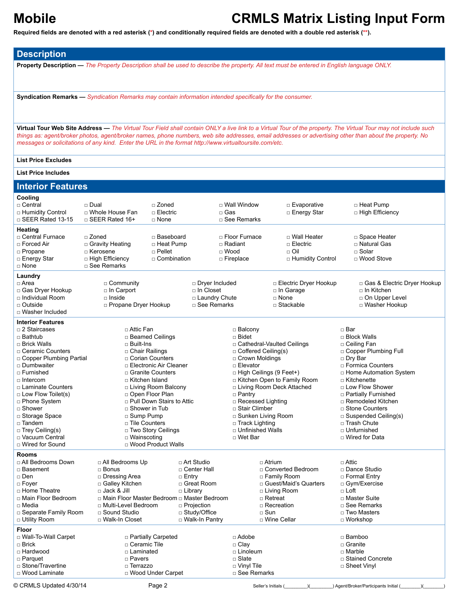**Required fields are denoted with a red asterisk (\*) and conditionally required fields are denoted with a double red asterisk (\*\*).**

**Description**

**Property Description —** *The Property Description shall be used to describe the property. All text must be entered in English language ONLY.*

**Syndication Remarks —** *Syndication Remarks may contain information intended specifically for the consumer.*

**Virtual Tour Web Site Address —** *The Virtual Tour Field shall contain ONLY a live link to a Virtual Tour of the property. The Virtual Tour may not include such things as: agent/broker photos, agent/broker names, phone numbers, web site addresses, email addresses or advertising other than about the property. No messages or solicitations of any kind. Enter the URL in the format http://www.virtualtoursite.com/etc.*

### **List Price Excludes**

| <b>List Price Includes</b>                                                                                                                                                                                                                                                                                                                                   |                                                                                                                                                                                                          |                                                                                                                                                                                                                              |                                                                                                          |                                                                                                                                                                                                                                                                       |                                                                                                                                            |                                                                                                                                                                                                                                                                                                                                 |
|--------------------------------------------------------------------------------------------------------------------------------------------------------------------------------------------------------------------------------------------------------------------------------------------------------------------------------------------------------------|----------------------------------------------------------------------------------------------------------------------------------------------------------------------------------------------------------|------------------------------------------------------------------------------------------------------------------------------------------------------------------------------------------------------------------------------|----------------------------------------------------------------------------------------------------------|-----------------------------------------------------------------------------------------------------------------------------------------------------------------------------------------------------------------------------------------------------------------------|--------------------------------------------------------------------------------------------------------------------------------------------|---------------------------------------------------------------------------------------------------------------------------------------------------------------------------------------------------------------------------------------------------------------------------------------------------------------------------------|
| <b>Interior Features</b>                                                                                                                                                                                                                                                                                                                                     |                                                                                                                                                                                                          |                                                                                                                                                                                                                              |                                                                                                          |                                                                                                                                                                                                                                                                       |                                                                                                                                            |                                                                                                                                                                                                                                                                                                                                 |
| Cooling<br>□ Central<br>□ Humidity Control<br>$\Box$ SEER Rated 13-15                                                                                                                                                                                                                                                                                        | □ Dual<br>□ Whole House Fan<br>$\Box$ SEER Rated 16+                                                                                                                                                     | □ Zoned<br>□ Electric<br>□ None                                                                                                                                                                                              | □ Gas                                                                                                    | □ Wall Window<br>□ See Remarks                                                                                                                                                                                                                                        | □ Evaporative<br>□ Energy Star                                                                                                             | □ Heat Pump<br>□ High Efficiency                                                                                                                                                                                                                                                                                                |
| <b>Heating</b><br>□ Central Furnace<br>□ Forced Air<br>□ Propane<br>□ Energy Star<br>□ None                                                                                                                                                                                                                                                                  | □ Zoned<br>□ Gravity Heating<br>□ Kerosene<br>□ High Efficiency<br>□ See Remarks                                                                                                                         | □ Baseboard<br>□ Heat Pump<br>$\Box$ Pellet<br>□ Combination                                                                                                                                                                 |                                                                                                          | □ Floor Furnace<br>□ Radiant<br>$\Box$ Wood<br>□ Fireplace                                                                                                                                                                                                            | □ Wall Heater<br>□ Electric<br>□ Oil<br>□ Humidity Control                                                                                 | □ Space Heater<br>□ Natural Gas<br>$\Box$ Solar<br>□ Wood Stove                                                                                                                                                                                                                                                                 |
| Laundry<br>□ Area<br>□ Gas Dryer Hookup<br>□ Individual Room<br>□ Outside<br>□ Washer Included                                                                                                                                                                                                                                                               | □ Community<br>□ In Carport<br>$\Box$ Inside<br>□ Propane Dryer Hookup                                                                                                                                   |                                                                                                                                                                                                                              | □ Dryer Included<br>□ In Closet<br>□ Laundry Chute<br>□ See Remarks                                      |                                                                                                                                                                                                                                                                       | □ Electric Dryer Hookup<br>□ In Garage<br>□ None<br>$\Box$ Stackable                                                                       | □ Gas & Electric Dryer Hookup<br>□ In Kitchen<br>o On Upper Level<br>□ Washer Hookup                                                                                                                                                                                                                                            |
| <b>Interior Features</b><br>□ 2 Staircases<br>□ Bathtub<br>□ Brick Walls<br>□ Ceramic Counters<br>□ Copper Plumbing Partial<br>□ Dumbwaiter<br>□ Furnished<br>□ Intercom<br>□ Laminate Counters<br>$\Box$ Low Flow Toilet(s)<br>□ Phone System<br>□ Shower<br>□ Storage Space<br>□ Tandem<br>$\Box$ Trey Ceiling(s)<br>□ Vacuum Central<br>□ Wired for Sound | □ Attic Fan<br>□ Built-Ins<br>□ Chair Railings<br>□ Kitchen Island<br>$\Box$ Shower in Tub<br>□ Sump Pump<br>□ Tile Counters<br>$\Box$ Wainscoting                                                       | □ Beamed Ceilings<br>□ Corian Counters<br>□ Electronic Air Cleaner<br>□ Granite Counters<br>□ Living Room Balcony<br>□ Open Floor Plan<br>□ Pull Down Stairs to Attic<br>□ Two Story Ceilings<br><b>D</b> Wood Product Walls |                                                                                                          | □ Balcony<br>□ Bidet<br>$\Box$ Coffered Ceiling(s)<br>$\Box$ Crown Moldings<br>$\Box$ Elevator<br>□ High Ceilings (9 Feet+)<br>$\Box$ Pantry<br>□ Recessed Lighting<br>□ Stair Climber<br>□ Sunken Living Room<br>□ Track Lighting<br>□ Unfinished Walls<br>□ Wet Bar | □ Cathedral-Vaulted Ceilings<br>E Kitchen Open to Family Room<br>□ Living Room Deck Attached                                               | □ Bar<br>□ Block Walls<br>□ Ceiling Fan<br>□ Copper Plumbing Full<br>□ Dry Bar<br>□ Formica Counters<br>□ Home Automation System<br>□ Kitchenette<br>□ Low Flow Shower<br>□ Partially Furnished<br>□ Remodeled Kitchen<br>□ Stone Counters<br>$\Box$ Suspended Ceiling(s)<br>□ Trash Chute<br>□ Unfurnished<br>□ Wired for Data |
| <b>Rooms</b><br>□ All Bedrooms Down<br>□ Basement<br>□ Den<br>$\Box$ Foyer<br>□ Home Theatre<br>□ Main Floor Bedroom<br>□ Media<br>□ Separate Family Room<br>□ Utility Room                                                                                                                                                                                  | □ All Bedrooms Up<br>$\Box$ Bonus<br>□ Dressing Area<br>□ Galley Kitchen<br>□ Jack & Jill<br>□ Main Floor Master Bedroom □ Master Bedroom<br>□ Multi-Level Bedroom<br>□ Sound Studio<br>□ Walk-In Closet | □ Entry<br>$\Box$ Library                                                                                                                                                                                                    | $\Box$ Art Studio<br>□ Center Hall<br>□ Great Room<br>□ Projection<br>□ Study/Office<br>□ Walk-In Pantry | $\square$ Sun                                                                                                                                                                                                                                                         | □ Atrium<br>□ Converted Bedroom<br>□ Family Room<br>□ Guest/Maid's Quarters<br>□ Living Room<br>□ Retreat<br>□ Recreation<br>□ Wine Cellar | $\Box$ Attic<br>□ Dance Studio<br>□ Formal Entry<br>□ Gym/Exercise<br>$\Box$ Loft<br>□ Master Suite<br>□ See Remarks<br>□ Two Masters<br>□ Workshop                                                                                                                                                                             |
| Floor<br>□ Wall-To-Wall Carpet<br>$\Box$ Brick<br>□ Hardwood<br>□ Parquet<br>□ Stone/Travertine<br>□ Wood Laminate<br>© CRMLS Updated 4/30/14                                                                                                                                                                                                                | □ Ceramic Tile<br>□ Laminated<br>□ Pavers<br>□ Terrazzo                                                                                                                                                  | □ Partially Carpeted<br>□ Wood Under Carpet<br>Page 2                                                                                                                                                                        |                                                                                                          | □ Adobe<br>□ Clay<br>□ Linoleum<br>□ Slate<br>$\Box$ Vinyl Tile<br>□ See Remarks                                                                                                                                                                                      | Seller's Initials (                                                                                                                        | □ Bamboo<br>□ Granite<br>$\Box$ Marble<br>□ Stained Concrete<br>□ Sheet Vinyl<br>) Agent/Broker/Participants Initial (                                                                                                                                                                                                          |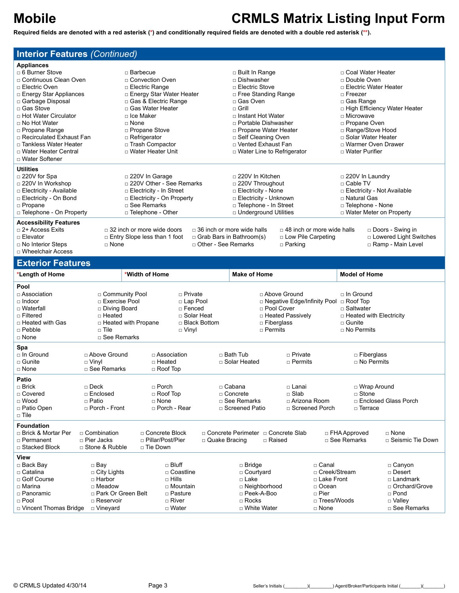**Required fields are denoted with a red asterisk (\*) and conditionally required fields are denoted with a double red asterisk (\*\*).**

### **Interior Features** *(Continued)*

| <b>Appliances</b>                                                                                                                                                                                                                                                                                          |                                                                                                                                                                                                                                                              |                                                                                               |                                                                                                       |                                                                                  |                                    |                                                                                                                                                                   |
|------------------------------------------------------------------------------------------------------------------------------------------------------------------------------------------------------------------------------------------------------------------------------------------------------------|--------------------------------------------------------------------------------------------------------------------------------------------------------------------------------------------------------------------------------------------------------------|-----------------------------------------------------------------------------------------------|-------------------------------------------------------------------------------------------------------|----------------------------------------------------------------------------------|------------------------------------|-------------------------------------------------------------------------------------------------------------------------------------------------------------------|
| $\Box$ 6 Burner Stove                                                                                                                                                                                                                                                                                      | $\Box$ Barbecue                                                                                                                                                                                                                                              |                                                                                               | □ Built In Range                                                                                      |                                                                                  |                                    | □ Coal Water Heater                                                                                                                                               |
| □ Continuous Clean Oven                                                                                                                                                                                                                                                                                    | □ Convection Oven                                                                                                                                                                                                                                            |                                                                                               | □ Dishwasher                                                                                          |                                                                                  | $\Box$ Double Oven                 |                                                                                                                                                                   |
| □ Electric Oven                                                                                                                                                                                                                                                                                            | □ Electric Range                                                                                                                                                                                                                                             |                                                                                               | $\Box$ Electric Stove                                                                                 |                                                                                  |                                    | □ Electric Water Heater                                                                                                                                           |
| $\Box$ Energy Star Appliances                                                                                                                                                                                                                                                                              | □ Energy Star Water Heater                                                                                                                                                                                                                                   |                                                                                               | □ Free Standing Range                                                                                 |                                                                                  | $\sqcap$ Freezer                   |                                                                                                                                                                   |
| □ Garbage Disposal                                                                                                                                                                                                                                                                                         | □ Gas & Electric Range                                                                                                                                                                                                                                       |                                                                                               | □ Gas Oven                                                                                            |                                                                                  | □ Gas Range                        |                                                                                                                                                                   |
| $\sqcap$ Gas Stove                                                                                                                                                                                                                                                                                         | □ Gas Water Heater                                                                                                                                                                                                                                           |                                                                                               | $\sqcap$ Grill                                                                                        |                                                                                  |                                    | □ High Efficiency Water Heater                                                                                                                                    |
| □ Hot Water Circulator                                                                                                                                                                                                                                                                                     | $\sqcap$ Ice Maker                                                                                                                                                                                                                                           |                                                                                               | $\Box$ Instant Hot Water                                                                              |                                                                                  | $\sqcap$ Microwave                 |                                                                                                                                                                   |
| □ No Hot Water                                                                                                                                                                                                                                                                                             | $\sqcap$ None                                                                                                                                                                                                                                                |                                                                                               | □ Portable Dishwasher                                                                                 |                                                                                  | □ Propane Oven                     |                                                                                                                                                                   |
| $\Box$ Propane Range                                                                                                                                                                                                                                                                                       | □ Propane Stove                                                                                                                                                                                                                                              |                                                                                               | □ Propane Water Heater                                                                                |                                                                                  |                                    | □ Range/Stove Hood                                                                                                                                                |
| □ Recirculated Exhaust Fan                                                                                                                                                                                                                                                                                 | $\Box$ Refrigerator                                                                                                                                                                                                                                          |                                                                                               | □ Self Cleaning Oven                                                                                  |                                                                                  |                                    | □ Solar Water Heater                                                                                                                                              |
| □ Tankless Water Heater                                                                                                                                                                                                                                                                                    | □ Trash Compactor                                                                                                                                                                                                                                            |                                                                                               |                                                                                                       |                                                                                  | □ Warmer Oven Drawer               |                                                                                                                                                                   |
| □ Water Heater Central                                                                                                                                                                                                                                                                                     | □ Water Heater Unit                                                                                                                                                                                                                                          |                                                                                               | □ Water Line to Refrigerator                                                                          |                                                                                  | □ Water Purifier                   |                                                                                                                                                                   |
| □ Water Softener                                                                                                                                                                                                                                                                                           |                                                                                                                                                                                                                                                              |                                                                                               |                                                                                                       |                                                                                  |                                    |                                                                                                                                                                   |
|                                                                                                                                                                                                                                                                                                            |                                                                                                                                                                                                                                                              |                                                                                               |                                                                                                       |                                                                                  |                                    |                                                                                                                                                                   |
|                                                                                                                                                                                                                                                                                                            |                                                                                                                                                                                                                                                              |                                                                                               | $\Box$ 220V In Kitchen                                                                                |                                                                                  |                                    |                                                                                                                                                                   |
|                                                                                                                                                                                                                                                                                                            |                                                                                                                                                                                                                                                              |                                                                                               | $\Box$ 220V Throughout                                                                                |                                                                                  | □ Cable TV                         |                                                                                                                                                                   |
|                                                                                                                                                                                                                                                                                                            |                                                                                                                                                                                                                                                              |                                                                                               | □ Electricity - None                                                                                  |                                                                                  | $\Box$ Electricity - Not Available |                                                                                                                                                                   |
|                                                                                                                                                                                                                                                                                                            |                                                                                                                                                                                                                                                              |                                                                                               |                                                                                                       |                                                                                  | □ Natural Gas                      |                                                                                                                                                                   |
|                                                                                                                                                                                                                                                                                                            |                                                                                                                                                                                                                                                              |                                                                                               |                                                                                                       |                                                                                  |                                    |                                                                                                                                                                   |
|                                                                                                                                                                                                                                                                                                            |                                                                                                                                                                                                                                                              |                                                                                               |                                                                                                       |                                                                                  |                                    |                                                                                                                                                                   |
|                                                                                                                                                                                                                                                                                                            |                                                                                                                                                                                                                                                              |                                                                                               |                                                                                                       |                                                                                  |                                    |                                                                                                                                                                   |
|                                                                                                                                                                                                                                                                                                            |                                                                                                                                                                                                                                                              |                                                                                               |                                                                                                       |                                                                                  |                                    |                                                                                                                                                                   |
|                                                                                                                                                                                                                                                                                                            |                                                                                                                                                                                                                                                              |                                                                                               |                                                                                                       |                                                                                  |                                    |                                                                                                                                                                   |
|                                                                                                                                                                                                                                                                                                            |                                                                                                                                                                                                                                                              |                                                                                               |                                                                                                       |                                                                                  |                                    |                                                                                                                                                                   |
|                                                                                                                                                                                                                                                                                                            |                                                                                                                                                                                                                                                              |                                                                                               |                                                                                                       |                                                                                  |                                    |                                                                                                                                                                   |
| <b>Utilities</b><br>$\Box$ 220V for Spa<br>□ 220V In Workshop<br>□ Electricity - Available<br>□ Electricity - On Bond<br>$\Box$ Propane<br>□ Telephone - On Property<br><b>Accessibility Features</b><br>$\Box$ 2+ Access Exits<br>$\Box$ Elevator<br>$\Box$ No Interior Steps<br>$\Box$ Wheelchair Access | $\Box$ 220V In Garage<br>□ 220V Other - See Remarks<br>$\Box$ Electricity - In Street<br>$\Box$ Electricity - On Property<br>□ See Remarks<br>□ Telephone - Other<br>$\Box$ 32 inch or more wide doors<br>$\Box$ Entry Slope less than 1 foot<br>$\Box$ None | $\Box$ 36 inch or more wide halls<br>$\Box$ Grab Bars in Bathroom(s)<br>□ Other - See Remarks | □ Vented Exhaust Fan<br>□ Electricity - Unknown<br>D Telephone - In Street<br>□ Underground Utilities | $\Box$ 48 inch or more wide halls<br>$\Box$ Low Pile Carpeting<br>$\Box$ Parking |                                    | $\Box$ 220V In Laundry<br>□ Telephone - None<br>$\Box$ Water Meter on Property<br>$\Box$ Doors - Swing in<br>$\Box$ Lowered Light Switches<br>□ Ramp - Main Level |

### **Exterior Features**

| <b>LAIGHUI I GAIUIGS</b>                                                                                                                       |                                                                                                                                 |                                                                                                                      |                                                                            |                                                                                                                |                                                                                                    |                                                                                                          |                                                                                                                              |                                                                                                                  |
|------------------------------------------------------------------------------------------------------------------------------------------------|---------------------------------------------------------------------------------------------------------------------------------|----------------------------------------------------------------------------------------------------------------------|----------------------------------------------------------------------------|----------------------------------------------------------------------------------------------------------------|----------------------------------------------------------------------------------------------------|----------------------------------------------------------------------------------------------------------|------------------------------------------------------------------------------------------------------------------------------|------------------------------------------------------------------------------------------------------------------|
| *Length of Home                                                                                                                                |                                                                                                                                 | *Width of Home                                                                                                       |                                                                            | <b>Make of Home</b>                                                                                            |                                                                                                    |                                                                                                          | <b>Model of Home</b>                                                                                                         |                                                                                                                  |
| Pool<br>$\Box$ Association<br>$\Box$ Indoor<br>□ Waterfall<br>$\Box$ Filtered<br>□ Heated with Gas<br>□ Pebble<br>$\Box$ None                  | □ Community Pool<br>□ Exercise Pool<br>□ Diving Board<br>□ Heated<br>$\Box$ Heated with Propane<br>$\Box$ Tile<br>□ See Remarks | $\Box$ Vinyl                                                                                                         | $\Box$ Private<br>□ Lap Pool<br>□ Fenced<br>□ Solar Heat<br>□ Black Bottom |                                                                                                                | □ Above Ground<br>$\sqcap$ Pool Cover<br>□ Heated Passively<br>$\Box$ Fiberglass<br>$\Box$ Permits | $\Box$ Negative Edge/Infinity Pool                                                                       | $\sqcap$ In Ground<br>$\Box$ Roof Top<br>$\Box$ Saltwater<br>$\Box$ Heated with Electricity<br>$\Box$ Gunite<br>□ No Permits |                                                                                                                  |
| Spa<br>$\sqcap$ In Ground<br>$\Box$ Gunite<br>□ None                                                                                           | □ Above Ground<br>$\Box$ Vinyl<br>□ See Remarks                                                                                 | $\Box$ Association<br>$\Box$ Heated<br>$\Box$ Roof Top                                                               |                                                                            | $\sqcap$ Bath Tub<br>□ Solar Heated                                                                            | $\Box$ Private<br>$\sqcap$ Permits                                                                 |                                                                                                          | $\Box$ Fiberglass<br>$\sqcap$ No Permits                                                                                     |                                                                                                                  |
| <b>Patio</b><br>$\Box$ Brick<br>□ Covered<br>$\Box$ Wood<br>□ Patio Open<br>$\Box$ Tile                                                        | $\sqcap$ Deck<br>□ Enclosed<br>$\Box$ Patio<br>□ Porch - Front                                                                  | $\sqcap$ Porch<br>$\Box$ Roof Top<br>$\Box$ None<br>□ Porch - Rear                                                   |                                                                            | $\sqcap$ Cabana<br>$\sqcap$ Concrete<br>□ See Remarks<br>□ Screened Patio                                      | $\Box$ Lanai<br>$\Box$ Slab                                                                        | □ Arizona Room<br>□ Screened Porch                                                                       | $\Box$ Stone<br>$\Box$ Terrace                                                                                               | □ Wrap Around<br>□ Enclosed Glass Porch                                                                          |
| <b>Foundation</b><br>□ Brick & Mortar Per<br>$\Box$ Permanent<br>□ Stacked Block                                                               | $\sqcap$ Combination<br>$\Box$ Pier Jacks<br>$\Box$ Stone & Rubble                                                              | □ Concrete Block<br>□ Pillar/Post/Pier<br>□ Tie Down                                                                 | $\Box$ Quake Bracing                                                       |                                                                                                                | □ Concrete Perimeter □ Concrete Slab<br>□ Raised                                                   |                                                                                                          | $\Box$ FHA Approved<br>□ See Remarks                                                                                         | $\sqcap$ None<br>□ Seismic Tie Down                                                                              |
| <b>View</b><br>$\Box$ Back Bay<br>$\Box$ Catalina<br>□ Golf Course<br>$\sqcap$ Marina<br>□ Panoramic<br>$\Box$ Pool<br>D Vincent Thomas Bridge | $\Box$ Bay<br>$\Box$ City Lights<br>$\Box$ Harbor<br>$\Box$ Meadow<br>□ Park Or Green Belt<br>□ Reservoir<br>□ Vineyard         | $\sqcap$ Bluff<br>□ Coastline<br>$\Box$ Hills<br>$\Box$ Mountain<br>$\Box$ Pasture<br>$\sqcap$ River<br>$\Box$ Water |                                                                            | $\Box$ Bridge<br>□ Courtyard<br>$\Box$ Lake<br>□ Neighborhood<br>□ Peek-A-Boo<br>$\Box$ Rocks<br>□ White Water |                                                                                                    | $\Box$ Canal<br>□ Creek/Stream<br>□ Lake Front<br>□ Ocean<br>$\Box$ Pier<br>□ Trees/Woods<br>$\Box$ None |                                                                                                                              | $\Box$ Canyon<br>□ Desert<br>$\Box$ Landmark<br>□ Orchard/Grove<br>$\Box$ Pond<br>$\Box$ Valley<br>□ See Remarks |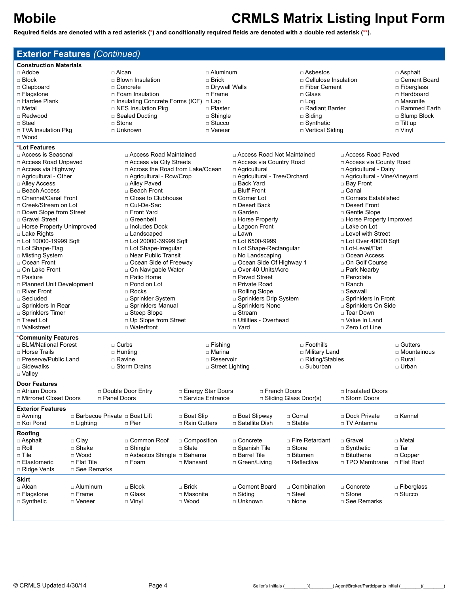| <b>Exterior Features (Continued)</b>           |                                |                |                                                                 |                           |                                   |                               |                         |                                 |                                     |                              |
|------------------------------------------------|--------------------------------|----------------|-----------------------------------------------------------------|---------------------------|-----------------------------------|-------------------------------|-------------------------|---------------------------------|-------------------------------------|------------------------------|
| <b>Construction Materials</b>                  |                                |                |                                                                 |                           |                                   |                               |                         |                                 |                                     |                              |
| $\Box$ Adobe                                   |                                | $\sqcap$ Alcan |                                                                 |                           | □ Aluminum                        |                               |                         | □ Asbestos                      | □ Asphalt                           |                              |
| $\Box$ Block                                   |                                |                | $\Box$ Blown Insulation                                         |                           | $\Box$ Brick                      |                               |                         |                                 | □ Cellulose Insulation              | □ Cement Board               |
| □ Clapboard                                    |                                | □ Concrete     |                                                                 |                           |                                   | □ Drywall Walls               |                         | □ Fiber Cement                  |                                     | □ Fiberglass                 |
| □ Flagstone                                    |                                |                | $\Box$ Foam Insulation                                          |                           | $\Box$ Frame                      |                               |                         | □ Glass                         |                                     | $\Box$ Hardboard             |
| □ Hardee Plank<br>□ Metal                      |                                |                | □ Insulating Concrete Forms (ICF) □ Lap<br>□ NES Insulation Pkg |                           |                                   |                               |                         | $\Box$ Log<br>□ Radiant Barrier |                                     | □ Masonite<br>□ Rammed Earth |
| □ Redwood                                      |                                |                | □ Sealed Ducting                                                |                           | □ Plaster<br>□ Shingle            |                               |                         | $\Box$ Siding                   |                                     | □ Slump Block                |
| □ Steel                                        |                                | □ Stone        |                                                                 |                           | $\Box$ Stucco                     |                               |                         | $\Box$ Synthetic                |                                     | $\Box$ Tilt up               |
| □ TVA Insulation Pkg                           |                                |                | □ Unknown                                                       |                           | □ Veneer                          |                               |                         | □ Vertical Siding               |                                     | □ Vinyl                      |
| $\Box$ Wood                                    |                                |                |                                                                 |                           |                                   |                               |                         |                                 |                                     |                              |
| *Lot Features                                  |                                |                |                                                                 |                           |                                   |                               |                         |                                 |                                     |                              |
| □ Access is Seasonal                           |                                |                | □ Access Road Maintained                                        |                           |                                   | □ Access Road Not Maintained  |                         |                                 | □ Access Road Paved                 |                              |
| □ Access Road Unpaved                          |                                |                | □ Access via City Streets                                       |                           |                                   | □ Access via Country Road     |                         |                                 | □ Access via County Road            |                              |
| □ Access via Highway                           |                                |                | □ Across the Road from Lake/Ocean                               |                           |                                   | □ Agricultural                |                         |                                 | □ Agricultural - Dairy              |                              |
| □ Agricultural - Other                         |                                |                | □ Agricultural - Row/Crop                                       |                           |                                   | □ Agricultural - Tree/Orchard |                         |                                 | □ Agricultural - Vine/Vineyard      |                              |
| □ Alley Access                                 |                                |                | □ Alley Paved                                                   |                           |                                   | □ Back Yard                   |                         |                                 | □ Bay Front                         |                              |
| □ Beach Access                                 |                                |                | □ Beach Front                                                   |                           |                                   | □ Bluff Front                 |                         |                                 | $\Box$ Canal                        |                              |
| □ Channel/Canal Front<br>□ Creek/Stream on Lot |                                |                | □ Close to Clubhouse                                            |                           |                                   | □ Corner Lot<br>□ Desert Back |                         |                                 | □ Corners Established               |                              |
| □ Down Slope from Street                       |                                |                | □ Cul-De-Sac<br>□ Front Yard                                    |                           |                                   | $\sqcap$ Garden               |                         |                                 | □ Desert Front<br>□ Gentle Slope    |                              |
| □ Gravel Street                                |                                |                | □ Greenbelt                                                     |                           |                                   | □ Horse Property              |                         |                                 | □ Horse Property Improved           |                              |
| □ Horse Property Unimproved                    |                                |                | $\Box$ Includes Dock                                            |                           |                                   | □ Lagoon Front                |                         |                                 | □ Lake on Lot                       |                              |
| □ Lake Rights                                  |                                |                | □ Landscaped                                                    |                           |                                   | □ Lawn                        |                         |                                 | □ Level with Street                 |                              |
| □ Lot 10000-19999 Sqft                         |                                |                | $\Box$ Lot 20000-39999 Sqft                                     |                           |                                   | $\Box$ Lot 6500-9999          |                         |                                 | □ Lot Over 40000 Sqft               |                              |
| □ Lot Shape-Flag                               |                                |                | □ Lot Shape-Irregular                                           |                           |                                   | □ Lot Shape-Rectangular       |                         | □ Lot-Level/Flat                |                                     |                              |
| □ Misting System                               |                                |                | □ Near Public Transit                                           |                           | $\Box$ No Landscaping             |                               |                         | □ Ocean Access                  |                                     |                              |
| □ Ocean Front                                  |                                |                | □ Ocean Side of Freeway                                         | □ Ocean Side Of Highway 1 |                                   |                               | □ On Golf Course        |                                 |                                     |                              |
| □ On Lake Front                                |                                |                | □ On Navigable Water                                            | □ Over 40 Units/Acre      |                                   |                               | □ Park Nearby           |                                 |                                     |                              |
| □ Pasture                                      |                                |                | □ Patio Home                                                    | □ Paved Street            |                                   |                               | □ Percolate<br>□ Ranch  |                                 |                                     |                              |
| □ Planned Unit Development<br>□ River Front    |                                |                | $\Box$ Pond on Lot<br>$\Box$ Rocks                              |                           | □ Private Road<br>□ Rolling Slope |                               |                         | □ Seawall                       |                                     |                              |
| $\Box$ Secluded                                |                                |                | □ Sprinkler System                                              | □ Sprinklers Drip System  |                                   |                               | □ Sprinklers In Front   |                                 |                                     |                              |
| $\Box$ Sprinklers In Rear                      |                                |                | □ Sprinklers Manual                                             | □ Sprinklers None         |                                   |                               |                         |                                 |                                     |                              |
| □ Sprinklers Timer                             |                                |                | $\Box$ Steep Slope                                              |                           |                                   | $\Box$ Stream                 |                         |                                 | □ Sprinklers On Side<br>□ Tear Down |                              |
| □ Treed Lot                                    |                                |                | □ Up Slope from Street                                          | □ Utilities - Overhead    |                                   |                               |                         | □ Value In Land                 |                                     |                              |
| □ Walkstreet                                   |                                |                | □ Waterfront                                                    | □ Yard                    |                                   |                               |                         |                                 | □ Zero Lot Line                     |                              |
| *Community Features                            |                                |                |                                                                 |                           |                                   |                               |                         |                                 |                                     |                              |
| □ BLM/National Forest                          |                                | $\Box$ Curbs   |                                                                 |                           | $\Box$ Fishing                    |                               |                         | $\Box$ Foothills                |                                     | □ Gutters                    |
| □ Horse Trails                                 |                                | $\Box$ Hunting |                                                                 |                           | $\sqcap$ Marina                   |                               |                         | □ Military Land                 |                                     | □ Mountainous                |
| □ Preserve/Public Land                         |                                | □ Ravine       |                                                                 |                           | □ Reservoir                       | □ Riding/Stables              |                         | □ Rural                         |                                     |                              |
| □ Sidewalks                                    |                                |                | □ Storm Drains                                                  |                           | $\Box$ Street Lighting            |                               |                         | □ Suburban                      |                                     | □ Urban                      |
| □ Valley                                       |                                |                |                                                                 |                           |                                   |                               |                         |                                 |                                     |                              |
| Door Features<br>□ Atrium Doors                |                                |                | □ Double Door Entry                                             |                           | □ Energy Star Doors               |                               | □ French Doors          |                                 | □ Insulated Doors                   |                              |
| □ Mirrored Closet Doors                        |                                | □ Panel Doors  |                                                                 |                           | □ Service Entrance                |                               | □ Sliding Glass Door(s) |                                 | □ Storm Doors                       |                              |
| <b>Exterior Features</b>                       |                                |                |                                                                 |                           |                                   |                               |                         |                                 |                                     |                              |
| $\Box$ Awning                                  | □ Barbecue Private □ Boat Lift |                |                                                                 | □ Boat Slip               |                                   | □ Boat Slipway                | □ Corral                |                                 | □ Dock Private                      | □ Kennel                     |
| □ Koi Pond                                     | □ Lighting                     |                | □ Pier                                                          | □ Rain Gutters            |                                   | □ Satellite Dish              | $\square$ Stable        |                                 | □ TV Antenna                        |                              |
| Roofing                                        |                                |                |                                                                 |                           |                                   |                               |                         |                                 |                                     |                              |
| □ Asphalt                                      | $\Box$ Clay                    |                | □ Common Roof                                                   | □ Composition             |                                   | □ Concrete                    |                         | □ Fire Retardant                | □ Gravel                            | □ Metal                      |
| $\Box$ Roll                                    | □ Shake                        |                | $\square$ Shingle                                               | $\Box$ Slate              |                                   | □ Spanish Tile                | □ Stone                 |                                 | $\Box$ Synthetic                    | □ Tar                        |
| $\Box$ Tile                                    | $\Box$ Wood                    |                | □ Asbestos Shingle □ Bahama                                     |                           |                                   | □ Barrel Tile                 |                         | □ Bitumen                       | □ Bituthene                         | $\Box$ Copper                |
| □ Elastomeric                                  | □ Flat Tile                    |                | □ Foam                                                          | □ Mansard                 |                                   | □ Green/Living                |                         | □ Reflective                    | □ TPO Membrane                      | □ Flat Roof                  |
| □ Ridge Vents                                  | □ See Remarks                  |                |                                                                 |                           |                                   |                               |                         |                                 |                                     |                              |
| Skirt                                          |                                |                |                                                                 |                           |                                   |                               |                         |                                 |                                     |                              |
| □ Alcan                                        | □ Aluminum                     |                | $\Box$ Block                                                    | $\Box$ Brick              |                                   | □ Cement Board                |                         | $\Box$ Combination              | □ Concrete                          | $\Box$ Fiberglass            |
| □ Flagstone                                    | □ Frame                        |                | □ Glass                                                         | □ Masonite                |                                   | $\Box$ Siding                 | □ Steel                 |                                 | □ Stone                             | $\Box$ Stucco                |
| $\Box$ Synthetic                               | □ Veneer                       |                | $\Box$ Vinyl                                                    | □ Wood                    |                                   | □ Unknown                     | □ None                  |                                 | □ See Remarks                       |                              |
|                                                |                                |                |                                                                 |                           |                                   |                               |                         |                                 |                                     |                              |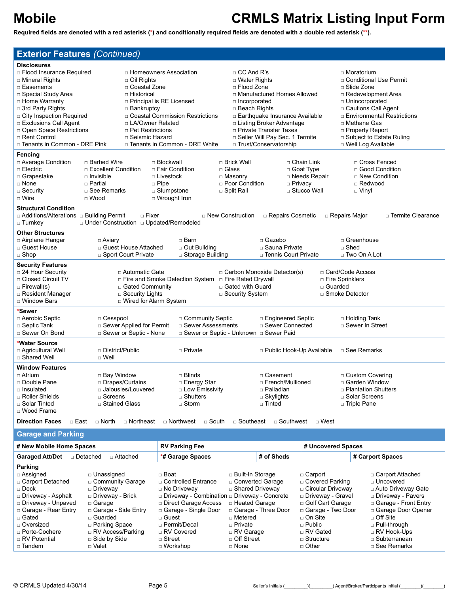| <b>Exterior Features (Continued)</b>                 |                                               |                                                        |                                                                   |                                           |                                               |
|------------------------------------------------------|-----------------------------------------------|--------------------------------------------------------|-------------------------------------------------------------------|-------------------------------------------|-----------------------------------------------|
| <b>Disclosures</b>                                   |                                               |                                                        |                                                                   |                                           |                                               |
| □ Flood Insurance Required                           |                                               | □ Homeowners Association                               | $\Box$ CC And R's                                                 |                                           | □ Moratorium                                  |
| □ Mineral Rights                                     | $\Box$ Oil Rights                             |                                                        | $\Box$ Water Rights                                               |                                           | □ Conditional Use Permit                      |
| □ Easements                                          | □ Coastal Zone                                |                                                        | □ Flood Zone                                                      |                                           | □ Slide Zone                                  |
| □ Special Study Area                                 | $\Box$ Historical                             |                                                        | □ Manufactured Homes Allowed                                      |                                           | $\Box$ Redevelopment Area                     |
| □ Home Warranty                                      |                                               | <b>D</b> Principal is RE Licensed                      | □ Incorporated                                                    |                                           | □ Unincorporated                              |
| □ 3rd Party Rights                                   | □ Bankruptcy                                  |                                                        | $\Box$ Beach Rights                                               |                                           | □ Cautions Call Agent                         |
| □ City Inspection Required                           |                                               | □ Coastal Commission Restrictions                      | □ Earthquake Insurance Available                                  |                                           | □ Environmental Restrictions                  |
| □ Exclusions Call Agent<br>□ Open Space Restrictions | □ LA/Owner Related<br>$\Box$ Pet Restrictions |                                                        | $\Box$ Listing Broker Advantage<br>□ Private Transfer Taxes       |                                           | □ Methane Gas<br>□ Property Report            |
| □ Rent Control                                       | □ Seismic Hazard                              |                                                        | G Seller Will Pay Sec. 1 Termite                                  |                                           | □ Subject to Estate Ruling                    |
| □ Tenants in Common - DRE Pink                       |                                               | □ Tenants in Common - DRE White                        | □ Trust/Conservatorship                                           |                                           | □ Well Log Available                          |
| Fencing                                              |                                               |                                                        |                                                                   |                                           |                                               |
| □ Average Condition                                  | □ Barbed Wire                                 | □ Blockwall                                            | □ Brick Wall                                                      | □ Chain Link                              | □ Cross Fenced                                |
| □ Electric                                           | □ Excellent Condition                         | □ Fair Condition                                       | □ Glass                                                           | □ Goat Type                               | □ Good Condition                              |
| □ Grapestake                                         | $\Box$ Invisible                              | □ Livestock                                            | □ Masonry                                                         | □ Needs Repair                            | □ New Condition                               |
| □ None                                               | □ Partial                                     | $\Box$ Pipe                                            | □ Poor Condition                                                  | $\Box$ Privacy                            | □ Redwood                                     |
| $\Box$ Security                                      | □ See Remarks                                 | □ Slumpstone                                           | □ Split Rail                                                      | □ Stucco Wall                             | $\Box$ Vinyl                                  |
| □ Wire                                               | $\Box$ Wood                                   | □ Wrought Iron                                         |                                                                   |                                           |                                               |
| <b>Structural Condition</b>                          |                                               |                                                        |                                                                   |                                           |                                               |
| □ Additions/Alterations □ Building Permit            | $\Box$ Fixer                                  |                                                        | $\Box$ New Construction<br>□ Repairs Cosmetic                     |                                           | □ Termite Clearance<br>□ Repairs Major        |
| □ Turnkey                                            | □ Under Construction □ Updated/Remodeled      |                                                        |                                                                   |                                           |                                               |
| <b>Other Structures</b>                              |                                               |                                                        |                                                                   |                                           |                                               |
| □ Airplane Hangar                                    | □ Aviary                                      | $\sqcap$ Barn                                          | □ Gazebo                                                          |                                           | □ Greenhouse                                  |
| □ Guest House                                        | □ Guest House Attached                        | □ Out Building                                         | □ Sauna Private                                                   |                                           | $\Box$ Shed                                   |
| $\Box$ Shop                                          | □ Sport Court Private                         | □ Storage Building                                     | □ Tennis Court Private                                            |                                           | $\Box$ Two On A Lot                           |
| <b>Security Features</b>                             |                                               |                                                        |                                                                   |                                           |                                               |
| □ 24 Hour Security                                   | □ Automatic Gate                              |                                                        | □ Carbon Monoxide Detector(s)                                     |                                           | □ Card/Code Access                            |
| □ Closed Circuit TV                                  |                                               | □ Fire and Smoke Detection System □ Fire Rated Drywall |                                                                   | □ Fire Sprinklers                         |                                               |
| $\Box$ Firewall(s)                                   | □ Gated Community                             |                                                        | □ Gated with Guard                                                | □ Guarded                                 |                                               |
| □ Resident Manager                                   | □ Security Lights                             |                                                        | □ Security System                                                 |                                           | □ Smoke Detector                              |
| □ Window Bars                                        | D Wired for Alarm System                      |                                                        |                                                                   |                                           |                                               |
| *Sewer                                               |                                               |                                                        |                                                                   |                                           |                                               |
| □ Aerobic Septic                                     | □ Cesspool                                    | □ Community Septic                                     | □ Engineered Septic                                               |                                           | □ Holding Tank                                |
| $\Box$ Septic Tank                                   | □ Sewer Applied for Permit                    | □ Sewer Assessments                                    | □ Sewer Connected                                                 |                                           | □ Sewer In Street                             |
| □ Sewer On Bond                                      | □ Sewer or Septic - None                      |                                                        | □ Sewer or Septic - Unknown □ Sewer Paid                          |                                           |                                               |
| *Water Source                                        |                                               |                                                        |                                                                   |                                           |                                               |
| □ Agricultural Well                                  | □ District/Public                             | □ Private                                              |                                                                   | □ Public Hook-Up Available                | □ See Remarks                                 |
| □ Shared Well                                        | $\Box$ Well                                   |                                                        |                                                                   |                                           |                                               |
| <b>Window Features</b>                               |                                               |                                                        |                                                                   |                                           |                                               |
| □ Atrium                                             | □ Bay Window                                  | □ Blinds                                               | □ Casement                                                        |                                           | □ Custom Covering                             |
| □ Double Pane                                        | □ Drapes/Curtains                             | □ Energy Star                                          | □ French/Mullioned                                                |                                           | □ Garden Window                               |
| □ Insulated                                          | □ Jalousies/Louvered                          | □ Low Emissivity                                       | □ Palladian                                                       |                                           | □ Plantation Shutters                         |
| □ Roller Shields                                     | □ Screens                                     | $\Box$ Shutters                                        | $\Box$ Skylights                                                  |                                           | □ Solar Screens                               |
| □ Solar Tinted                                       | □ Stained Glass                               | $\Box$ Storm                                           | □ Tinted                                                          |                                           | □ Triple Pane                                 |
| □ Wood Frame                                         |                                               |                                                        |                                                                   |                                           |                                               |
| <b>Direction Faces</b><br>□ East                     | $\Box$ North<br>□ Northeast                   | □ Northwest<br>$\Box$ South                            | □ Southeast<br>□ Southwest                                        | □ West                                    |                                               |
| <b>Garage and Parking</b>                            |                                               |                                                        |                                                                   |                                           |                                               |
| # New Mobile Home Spaces                             |                                               | <b>RV Parking Fee</b>                                  |                                                                   | # Uncovered Spaces                        |                                               |
|                                                      |                                               |                                                        |                                                                   |                                           |                                               |
|                                                      | □ Attached                                    | *# Garage Spaces                                       | # of Sheds                                                        |                                           | # Carport Spaces                              |
| Parking                                              |                                               |                                                        |                                                                   |                                           |                                               |
| □ Assigned                                           | □ Unassigned                                  | □ Boat                                                 | $\Box$ Built-In Storage                                           | □ Carport                                 | □ Carport Attached                            |
| □ Carport Detached                                   | □ Community Garage                            | □ Controlled Entrance                                  | □ Converted Garage                                                | □ Covered Parking                         | □ Uncovered                                   |
| $\Box$ Deck                                          | $\Box$ Driveway                               | □ No Driveway                                          | □ Shared Driveway                                                 | □ Circular Driveway                       | a Auto Driveway Gate                          |
| □ Driveway - Asphalt<br>□ Driveway - Unpaved         | □ Driveway - Brick<br>$\Box$ Garage           | □ Direct Garage Access                                 | □ Driveway - Combination □ Driveway - Concrete<br>□ Heated Garage | □ Driveway - Gravel<br>□ Golf Cart Garage | □ Driveway - Pavers<br>□ Garage - Front Entry |
| □ Garage - Rear Entry                                | □ Garage - Side Entry                         | □ Garage - Single Door                                 | □ Garage - Three Door                                             | □ Garage - Two Door                       | □ Garage Door Opener                          |
| □ Gated                                              | □ Guarded                                     | □ Guest                                                | □ Metered                                                         | □ On Site                                 | □ Off Site                                    |
| □ Oversized                                          | □ Parking Space                               | □ Permit/Decal                                         | n Private                                                         | $\square$ Public                          | □ Pull-through                                |
| □ Porte-Cochere                                      | $\Box$ RV Access/Parking                      | □ RV Covered                                           | □ RV Garage                                                       | □ RV Gated                                | □ RV Hook-Ups                                 |
| □ RV Potential                                       | □ Side by Side                                | $\Box$ Street                                          | □ Off Street                                                      | $\Box$ Structure                          | □ Subterranean                                |
| □ Tandem                                             | □ Valet                                       | □ Workshop                                             | □ None                                                            | □ Other                                   | □ See Remarks                                 |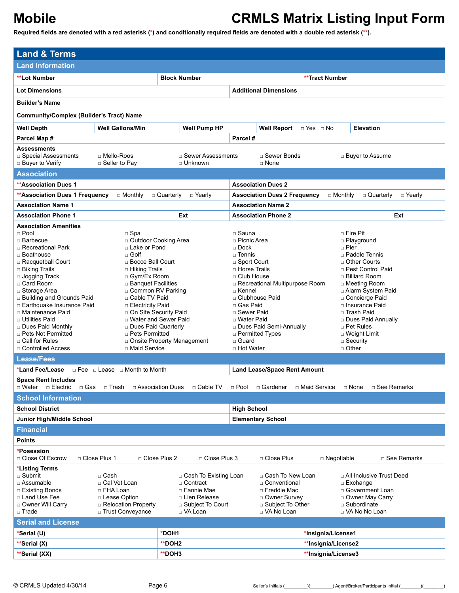| <b>Land &amp; Terms</b>                                                                                                                                                                                                                                                                                                                                                                                                                                                                                                                                                                                                                                                                                                                                                                                                                                   |                                                                                                                 |                                                                                                                                                                                                                                                                                                                                                                                                                                                                                                                                                                                                                                                                    |                                                |  |  |  |
|-----------------------------------------------------------------------------------------------------------------------------------------------------------------------------------------------------------------------------------------------------------------------------------------------------------------------------------------------------------------------------------------------------------------------------------------------------------------------------------------------------------------------------------------------------------------------------------------------------------------------------------------------------------------------------------------------------------------------------------------------------------------------------------------------------------------------------------------------------------|-----------------------------------------------------------------------------------------------------------------|--------------------------------------------------------------------------------------------------------------------------------------------------------------------------------------------------------------------------------------------------------------------------------------------------------------------------------------------------------------------------------------------------------------------------------------------------------------------------------------------------------------------------------------------------------------------------------------------------------------------------------------------------------------------|------------------------------------------------|--|--|--|
| <b>Land Information</b>                                                                                                                                                                                                                                                                                                                                                                                                                                                                                                                                                                                                                                                                                                                                                                                                                                   |                                                                                                                 |                                                                                                                                                                                                                                                                                                                                                                                                                                                                                                                                                                                                                                                                    |                                                |  |  |  |
| <b>**Lot Number</b>                                                                                                                                                                                                                                                                                                                                                                                                                                                                                                                                                                                                                                                                                                                                                                                                                                       | <b>Block Number</b>                                                                                             |                                                                                                                                                                                                                                                                                                                                                                                                                                                                                                                                                                                                                                                                    | <b>**Tract Number</b>                          |  |  |  |
| <b>Lot Dimensions</b>                                                                                                                                                                                                                                                                                                                                                                                                                                                                                                                                                                                                                                                                                                                                                                                                                                     |                                                                                                                 | <b>Additional Dimensions</b>                                                                                                                                                                                                                                                                                                                                                                                                                                                                                                                                                                                                                                       |                                                |  |  |  |
| <b>Builder's Name</b>                                                                                                                                                                                                                                                                                                                                                                                                                                                                                                                                                                                                                                                                                                                                                                                                                                     |                                                                                                                 |                                                                                                                                                                                                                                                                                                                                                                                                                                                                                                                                                                                                                                                                    |                                                |  |  |  |
| <b>Community/Complex (Builder's Tract) Name</b>                                                                                                                                                                                                                                                                                                                                                                                                                                                                                                                                                                                                                                                                                                                                                                                                           |                                                                                                                 |                                                                                                                                                                                                                                                                                                                                                                                                                                                                                                                                                                                                                                                                    |                                                |  |  |  |
| <b>Well Gallons/Min</b><br><b>Well Depth</b>                                                                                                                                                                                                                                                                                                                                                                                                                                                                                                                                                                                                                                                                                                                                                                                                              | <b>Well Pump HP</b>                                                                                             | <b>Well Report</b>                                                                                                                                                                                                                                                                                                                                                                                                                                                                                                                                                                                                                                                 | <b>Elevation</b><br>$\Box$ Yes $\Box$ No       |  |  |  |
| Parcel Map #                                                                                                                                                                                                                                                                                                                                                                                                                                                                                                                                                                                                                                                                                                                                                                                                                                              |                                                                                                                 | Parcel#                                                                                                                                                                                                                                                                                                                                                                                                                                                                                                                                                                                                                                                            |                                                |  |  |  |
| <b>Assessments</b><br>□ Mello-Roos<br>□ Special Assessments<br>□ Buyer to Verify<br>$\square$ Seller to Pay                                                                                                                                                                                                                                                                                                                                                                                                                                                                                                                                                                                                                                                                                                                                               | $\Box$ Sewer Assessments<br>$\Box$ Unknown                                                                      | □ Sewer Bonds<br>$\Box$ None                                                                                                                                                                                                                                                                                                                                                                                                                                                                                                                                                                                                                                       | □ Buyer to Assume                              |  |  |  |
| <b>Association</b>                                                                                                                                                                                                                                                                                                                                                                                                                                                                                                                                                                                                                                                                                                                                                                                                                                        |                                                                                                                 |                                                                                                                                                                                                                                                                                                                                                                                                                                                                                                                                                                                                                                                                    |                                                |  |  |  |
| <b>**Association Dues 1</b>                                                                                                                                                                                                                                                                                                                                                                                                                                                                                                                                                                                                                                                                                                                                                                                                                               |                                                                                                                 | <b>Association Dues 2</b>                                                                                                                                                                                                                                                                                                                                                                                                                                                                                                                                                                                                                                          |                                                |  |  |  |
| **Association Dues 1 Frequency<br>$\Box$ Monthly                                                                                                                                                                                                                                                                                                                                                                                                                                                                                                                                                                                                                                                                                                                                                                                                          | $\Box$ Quarterly<br>□ Yearly                                                                                    | <b>Association Dues 2 Frequency</b>                                                                                                                                                                                                                                                                                                                                                                                                                                                                                                                                                                                                                                | $\Box$ Monthly<br>□ Quarterly<br>$\Box$ Yearly |  |  |  |
| <b>Association Name 1</b>                                                                                                                                                                                                                                                                                                                                                                                                                                                                                                                                                                                                                                                                                                                                                                                                                                 |                                                                                                                 | <b>Association Name 2</b>                                                                                                                                                                                                                                                                                                                                                                                                                                                                                                                                                                                                                                          |                                                |  |  |  |
| <b>Association Phone 1</b>                                                                                                                                                                                                                                                                                                                                                                                                                                                                                                                                                                                                                                                                                                                                                                                                                                | Ext                                                                                                             | <b>Association Phone 2</b>                                                                                                                                                                                                                                                                                                                                                                                                                                                                                                                                                                                                                                         | Ext                                            |  |  |  |
| <b>Association Amenities</b><br>$\square$ Spa<br>$\Box$ Pool<br>□ Barbecue<br>□ Outdoor Cooking Area<br>$\Box$ Recreational Park<br>□ Lake or Pond<br>$\Box$ Golf<br>□ Boathouse<br>□ Racquetball Court<br>□ Bocce Ball Court<br>□ Biking Trails<br>□ Hiking Trails<br>$\Box$ Jogging Track<br>□ Gym/Ex Room<br>□ Card Room<br>$\Box$ Banquet Facilities<br>□ Common RV Parking<br>□ Storage Area<br>□ Building and Grounds Paid<br>□ Cable TV Paid<br>□ Earthquake Insurance Paid<br>□ Electricity Paid<br>o On Site Security Paid<br>□ Maintenance Paid<br>□ Water and Sewer Paid<br>□ Utilities Paid<br>□ Dues Paid Quarterly<br>□ Dues Paid Monthly<br>□ Pets Not Permitted<br>□ Pets Permitted<br>□ Call for Rules<br>□ Maid Service<br>□ Controlled Access<br><b>Lease/Fees</b><br>*Land Fee/Lease<br>$\Box$ Fee $\Box$ Lease $\Box$ Month to Month | □ Onsite Property Management                                                                                    | □ Fire Pit<br>□ Sauna<br>□ Picnic Area<br>□ Playground<br>□ Pier<br>$\Box$ Dock<br>□ Paddle Tennis<br>□ Tennis<br>□ Sport Court<br>□ Other Courts<br>□ Horse Trails<br>□ Pest Control Paid<br>□ Club House<br>□ Billiard Room<br>□ Recreational Multipurpose Room<br>□ Meeting Room<br>□ Kennel<br>□ Alarm System Paid<br>□ Clubhouse Paid<br>□ Concierge Paid<br>□ Gas Paid<br>□ Insurance Paid<br>□ Sewer Paid<br>□ Trash Paid<br>□ Water Paid<br>□ Dues Paid Annually<br>Dues Paid Semi-Annually<br>□ Pet Rules<br>□ Permitted Types<br>$\Box$ Weight Limit<br>□ Guard<br>$\Box$ Security<br>$\Box$ Other<br>□ Hot Water<br><b>Land Lease/Space Rent Amount</b> |                                                |  |  |  |
| <b>Space Rent Includes</b><br>□ Gas<br>□ Water □ Electric<br>□ Trash<br>□ Association Dues                                                                                                                                                                                                                                                                                                                                                                                                                                                                                                                                                                                                                                                                                                                                                                | □ Cable TV                                                                                                      | □ Pool<br>□ Gardener                                                                                                                                                                                                                                                                                                                                                                                                                                                                                                                                                                                                                                               | □ Maid Service<br>□ See Remarks<br>□ None      |  |  |  |
| <b>School Information</b>                                                                                                                                                                                                                                                                                                                                                                                                                                                                                                                                                                                                                                                                                                                                                                                                                                 |                                                                                                                 |                                                                                                                                                                                                                                                                                                                                                                                                                                                                                                                                                                                                                                                                    |                                                |  |  |  |
| <b>School District</b>                                                                                                                                                                                                                                                                                                                                                                                                                                                                                                                                                                                                                                                                                                                                                                                                                                    |                                                                                                                 | <b>High School</b>                                                                                                                                                                                                                                                                                                                                                                                                                                                                                                                                                                                                                                                 |                                                |  |  |  |
| Junior High/Middle School                                                                                                                                                                                                                                                                                                                                                                                                                                                                                                                                                                                                                                                                                                                                                                                                                                 |                                                                                                                 | <b>Elementary School</b>                                                                                                                                                                                                                                                                                                                                                                                                                                                                                                                                                                                                                                           |                                                |  |  |  |
| <b>Financial</b>                                                                                                                                                                                                                                                                                                                                                                                                                                                                                                                                                                                                                                                                                                                                                                                                                                          |                                                                                                                 |                                                                                                                                                                                                                                                                                                                                                                                                                                                                                                                                                                                                                                                                    |                                                |  |  |  |
| <b>Points</b>                                                                                                                                                                                                                                                                                                                                                                                                                                                                                                                                                                                                                                                                                                                                                                                                                                             |                                                                                                                 |                                                                                                                                                                                                                                                                                                                                                                                                                                                                                                                                                                                                                                                                    |                                                |  |  |  |
| *Posession<br>□ Close Plus 1<br>□ Close Plus 2<br>□ Close Of Escrow                                                                                                                                                                                                                                                                                                                                                                                                                                                                                                                                                                                                                                                                                                                                                                                       | □ Close Plus 3                                                                                                  | □ Close Plus                                                                                                                                                                                                                                                                                                                                                                                                                                                                                                                                                                                                                                                       | □ See Remarks<br>□ Negotiable                  |  |  |  |
| *Listing Terms<br>$\square$ Submit<br>□ Cash<br>□ Assumable<br>□ Cal Vet Loan<br>□ Existing Bonds<br>□ FHA Loan<br>□ Land Use Fee<br>□ Lease Option<br>□ Relocation Property<br>□ Owner Will Carry<br>□ Trust Conveyance<br>□ Trade                                                                                                                                                                                                                                                                                                                                                                                                                                                                                                                                                                                                                       | □ Cash To Existing Loan<br>□ Contract<br>□ Fannie Mae<br>□ Lien Release<br>$\Box$ Subject To Court<br>□ VA Loan | □ Cash To New Loan<br>□ All Inclusive Trust Deed<br>□ Conventional<br>□ Exchange<br>□ Freddie Mac<br>□ Government Loan<br>□ Owner Survey<br>□ Owner May Carry<br>□ Subject To Other<br>□ Subordinate<br>□ VA No Loan<br>□ VA No No Loan                                                                                                                                                                                                                                                                                                                                                                                                                            |                                                |  |  |  |
| <b>Serial and License</b>                                                                                                                                                                                                                                                                                                                                                                                                                                                                                                                                                                                                                                                                                                                                                                                                                                 |                                                                                                                 |                                                                                                                                                                                                                                                                                                                                                                                                                                                                                                                                                                                                                                                                    |                                                |  |  |  |
| *Serial (U)                                                                                                                                                                                                                                                                                                                                                                                                                                                                                                                                                                                                                                                                                                                                                                                                                                               | *DOH1                                                                                                           |                                                                                                                                                                                                                                                                                                                                                                                                                                                                                                                                                                                                                                                                    | *Insignia/License1                             |  |  |  |
| **Serial (X)                                                                                                                                                                                                                                                                                                                                                                                                                                                                                                                                                                                                                                                                                                                                                                                                                                              | **DOH2                                                                                                          |                                                                                                                                                                                                                                                                                                                                                                                                                                                                                                                                                                                                                                                                    | **Insignia/License2                            |  |  |  |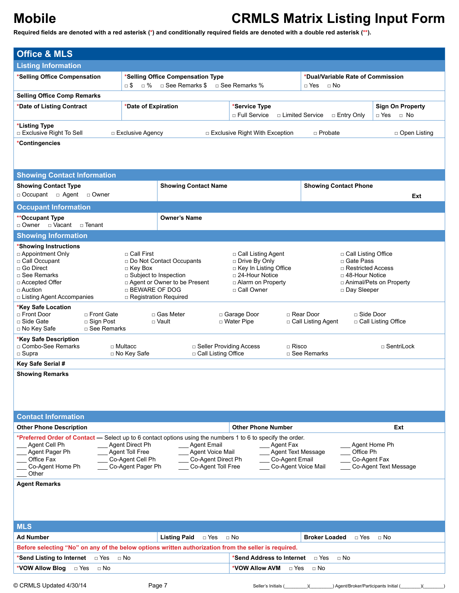| <b>Office &amp; MLS</b>                                                                                     |                                       |                                          |                                            |                                        |                                       |  |  |
|-------------------------------------------------------------------------------------------------------------|---------------------------------------|------------------------------------------|--------------------------------------------|----------------------------------------|---------------------------------------|--|--|
| <b>Listing Information</b>                                                                                  |                                       |                                          |                                            |                                        |                                       |  |  |
| *Selling Office Compensation                                                                                |                                       | *Selling Office Compensation Type        |                                            | *Dual/Variable Rate of Commission      |                                       |  |  |
|                                                                                                             | ⊡ \$<br>□ %                           | □ See Remarks \$                         | □ See Remarks %                            | $\Box$ Yes<br>$\sqcap$ No              |                                       |  |  |
| <b>Selling Office Comp Remarks</b>                                                                          |                                       |                                          |                                            |                                        |                                       |  |  |
| *Date of Listing Contract                                                                                   | *Date of Expiration                   |                                          | *Service Type                              |                                        | <b>Sign On Property</b>               |  |  |
|                                                                                                             |                                       |                                          | □ Full Service                             | □ Limited Service<br>$\Box$ Entry Only | $\Box$ No<br>□ Yes                    |  |  |
| *Listing Type<br>□ Exclusive Right To Sell                                                                  | $\Box$ Exclusive Agency               |                                          | □ Exclusive Right With Exception           | $\Box$ Probate                         | □ Open Listing                        |  |  |
| *Contingencies                                                                                              |                                       |                                          |                                            |                                        |                                       |  |  |
|                                                                                                             |                                       |                                          |                                            |                                        |                                       |  |  |
|                                                                                                             |                                       |                                          |                                            |                                        |                                       |  |  |
| <b>Showing Contact Information</b>                                                                          |                                       |                                          |                                            |                                        |                                       |  |  |
| <b>Showing Contact Type</b>                                                                                 |                                       | <b>Showing Contact Name</b>              |                                            | <b>Showing Contact Phone</b>           |                                       |  |  |
| D Occupant D Agent D Owner                                                                                  |                                       |                                          |                                            |                                        | Ext                                   |  |  |
| <b>Occupant Information</b>                                                                                 |                                       |                                          |                                            |                                        |                                       |  |  |
| **Occupant Type                                                                                             |                                       | <b>Owner's Name</b>                      |                                            |                                        |                                       |  |  |
| □ Owner □ Vacant □ Tenant                                                                                   |                                       |                                          |                                            |                                        |                                       |  |  |
| <b>Showing Information</b>                                                                                  |                                       |                                          |                                            |                                        |                                       |  |  |
| *Showing Instructions                                                                                       |                                       |                                          |                                            |                                        |                                       |  |  |
| $\Box$ Appointment Only                                                                                     | □ Call First                          | Do Not Contact Occupants                 | □ Call Listing Agent                       | □ Call Listing Office<br>□ Gate Pass   |                                       |  |  |
| □ Call Occupant<br>□ Go Direct                                                                              | $\Box$ Key Box                        |                                          | □ Drive By Only<br>□ Key In Listing Office | □ Restricted Access                    |                                       |  |  |
| □ See Remarks                                                                                               | □ Subject to Inspection               |                                          | $\Box$ 24-Hour Notice                      | $\Box$ 48-Hour Notice                  |                                       |  |  |
| □ Accepted Offer                                                                                            |                                       | □ Agent or Owner to be Present           | □ Alarm on Property                        |                                        | □ Animal/Pets on Property             |  |  |
| $\square$ Auction                                                                                           | □ BEWARE OF DOG                       |                                          | □ Call Owner                               | □ Day Sleeper                          |                                       |  |  |
| □ Listing Agent Accompanies                                                                                 |                                       | $\Box$ Registration Required             |                                            |                                        |                                       |  |  |
| *Key Safe Location<br>□ Front Door<br>□ Front Gate                                                          |                                       | □ Gas Meter                              | □ Garage Door                              | □ Rear Door<br>□ Side Door             |                                       |  |  |
| □ Side Gate<br>$\Box$ Sign Post                                                                             |                                       | □ Vault                                  | □ Water Pipe                               | □ Call Listing Agent                   | □ Call Listing Office                 |  |  |
| $\Box$ See Remarks<br>□ No Key Safe                                                                         |                                       |                                          |                                            |                                        |                                       |  |  |
| *Key Safe Description                                                                                       |                                       |                                          |                                            |                                        |                                       |  |  |
| □ Combo-See Remarks<br>$\square$ Supra                                                                      | □ Multacc<br>□ No Key Safe            | □ Call Listing Office                    | □ Seller Providing Access<br>$\Box$ Risco  | □ See Remarks                          | □ SentriLock                          |  |  |
| Key Safe Serial #                                                                                           |                                       |                                          |                                            |                                        |                                       |  |  |
|                                                                                                             |                                       |                                          |                                            |                                        |                                       |  |  |
| <b>Showing Remarks</b>                                                                                      |                                       |                                          |                                            |                                        |                                       |  |  |
|                                                                                                             |                                       |                                          |                                            |                                        |                                       |  |  |
|                                                                                                             |                                       |                                          |                                            |                                        |                                       |  |  |
|                                                                                                             |                                       |                                          |                                            |                                        |                                       |  |  |
| <b>Contact Information</b>                                                                                  |                                       |                                          |                                            |                                        |                                       |  |  |
| <b>Other Phone Description</b>                                                                              |                                       |                                          | <b>Other Phone Number</b>                  |                                        | Ext                                   |  |  |
| *Preferred Order of Contact — Select up to 6 contact options using the numbers 1 to 6 to specify the order. |                                       |                                          |                                            |                                        |                                       |  |  |
| Agent Cell Ph                                                                                               | Agent Direct Ph                       | <b>Agent Email</b>                       | Agent Fax                                  |                                        | Agent Home Ph                         |  |  |
| Agent Pager Ph                                                                                              | Agent Toll Free                       | Agent Voice Mail                         | Agent Text Message<br>Co-Agent Email       | Office Ph                              |                                       |  |  |
| Office Fax<br>Co-Agent Home Ph                                                                              | Co-Agent Cell Ph<br>Co-Agent Pager Ph | Co-Agent Direct Ph<br>Co-Agent Toll Free | Co-Agent Voice Mail                        |                                        | Co-Agent Fax<br>Co-Agent Text Message |  |  |
| Other                                                                                                       |                                       |                                          |                                            |                                        |                                       |  |  |
| <b>Agent Remarks</b>                                                                                        |                                       |                                          |                                            |                                        |                                       |  |  |
|                                                                                                             |                                       |                                          |                                            |                                        |                                       |  |  |
|                                                                                                             |                                       |                                          |                                            |                                        |                                       |  |  |
|                                                                                                             |                                       |                                          |                                            |                                        |                                       |  |  |
|                                                                                                             |                                       |                                          |                                            |                                        |                                       |  |  |
| <b>MLS</b>                                                                                                  |                                       |                                          |                                            |                                        |                                       |  |  |
| <b>Ad Number</b>                                                                                            |                                       | <b>Listing Paid</b><br>$\Box$ Yes        | $\Box$ No                                  | <b>Broker Loaded</b><br>$\Box$ Yes     | $\Box$ No                             |  |  |
| Before selecting "No" on any of the below options written authorization from the seller is required.        |                                       |                                          |                                            |                                        |                                       |  |  |
| $\Box$ Yes<br>*Send Listing to Internet                                                                     | $\Box$ No                             |                                          | *Send Address to Internet                  | $\Box$ Yes<br>$\Box$ No                |                                       |  |  |
| *VOW Allow Blog<br>$\Box$ Yes<br>$\Box$ No                                                                  |                                       |                                          | *VOW Allow AVM<br>□ Yes                    | $\Box$ No                              |                                       |  |  |
|                                                                                                             |                                       |                                          |                                            |                                        |                                       |  |  |
| © CRMLS Updated 4/30/14                                                                                     |                                       | Page 7                                   | Seller's Initials (                        | ) Agent/Broker/Participants Initial (  |                                       |  |  |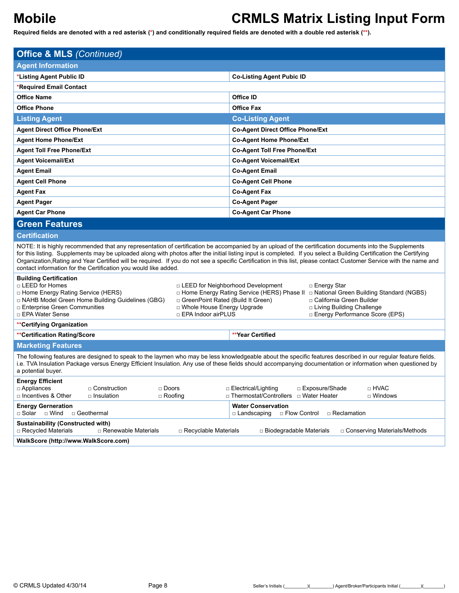**Required fields are denoted with a red asterisk (\*) and conditionally required fields are denoted with a double red asterisk (\*\*).**

| <b>Office &amp; MLS (Continued)</b>                                                                                                                                                                                                                                                                                                                                                                                                                                                                                                                                       |                                                                                                                                                                                                                                                 |  |  |  |  |  |  |
|---------------------------------------------------------------------------------------------------------------------------------------------------------------------------------------------------------------------------------------------------------------------------------------------------------------------------------------------------------------------------------------------------------------------------------------------------------------------------------------------------------------------------------------------------------------------------|-------------------------------------------------------------------------------------------------------------------------------------------------------------------------------------------------------------------------------------------------|--|--|--|--|--|--|
|                                                                                                                                                                                                                                                                                                                                                                                                                                                                                                                                                                           |                                                                                                                                                                                                                                                 |  |  |  |  |  |  |
| <b>Agent Information</b>                                                                                                                                                                                                                                                                                                                                                                                                                                                                                                                                                  |                                                                                                                                                                                                                                                 |  |  |  |  |  |  |
| *Listing Agent Public ID                                                                                                                                                                                                                                                                                                                                                                                                                                                                                                                                                  | <b>Co-Listing Agent Pubic ID</b>                                                                                                                                                                                                                |  |  |  |  |  |  |
| *Required Email Contact                                                                                                                                                                                                                                                                                                                                                                                                                                                                                                                                                   |                                                                                                                                                                                                                                                 |  |  |  |  |  |  |
| <b>Office Name</b>                                                                                                                                                                                                                                                                                                                                                                                                                                                                                                                                                        | Office ID                                                                                                                                                                                                                                       |  |  |  |  |  |  |
| <b>Office Phone</b>                                                                                                                                                                                                                                                                                                                                                                                                                                                                                                                                                       | <b>Office Fax</b>                                                                                                                                                                                                                               |  |  |  |  |  |  |
| <b>Listing Agent</b>                                                                                                                                                                                                                                                                                                                                                                                                                                                                                                                                                      | <b>Co-Listing Agent</b>                                                                                                                                                                                                                         |  |  |  |  |  |  |
| <b>Agent Direct Office Phone/Ext</b>                                                                                                                                                                                                                                                                                                                                                                                                                                                                                                                                      | <b>Co-Agent Direct Office Phone/Ext</b>                                                                                                                                                                                                         |  |  |  |  |  |  |
| <b>Agent Home Phone/Ext</b>                                                                                                                                                                                                                                                                                                                                                                                                                                                                                                                                               | <b>Co-Agent Home Phone/Ext</b>                                                                                                                                                                                                                  |  |  |  |  |  |  |
| <b>Agent Toll Free Phone/Ext</b>                                                                                                                                                                                                                                                                                                                                                                                                                                                                                                                                          | <b>Co-Agent Toll Free Phone/Ext</b>                                                                                                                                                                                                             |  |  |  |  |  |  |
| <b>Agent Voicemail/Ext</b>                                                                                                                                                                                                                                                                                                                                                                                                                                                                                                                                                | <b>Co-Agent Voicemail/Ext</b>                                                                                                                                                                                                                   |  |  |  |  |  |  |
| <b>Agent Email</b>                                                                                                                                                                                                                                                                                                                                                                                                                                                                                                                                                        | <b>Co-Agent Email</b>                                                                                                                                                                                                                           |  |  |  |  |  |  |
| <b>Agent Cell Phone</b>                                                                                                                                                                                                                                                                                                                                                                                                                                                                                                                                                   | <b>Co-Agent Cell Phone</b>                                                                                                                                                                                                                      |  |  |  |  |  |  |
| <b>Agent Fax</b>                                                                                                                                                                                                                                                                                                                                                                                                                                                                                                                                                          | <b>Co-Agent Fax</b>                                                                                                                                                                                                                             |  |  |  |  |  |  |
| <b>Agent Pager</b>                                                                                                                                                                                                                                                                                                                                                                                                                                                                                                                                                        | <b>Co-Agent Pager</b>                                                                                                                                                                                                                           |  |  |  |  |  |  |
| <b>Agent Car Phone</b>                                                                                                                                                                                                                                                                                                                                                                                                                                                                                                                                                    | <b>Co-Agent Car Phone</b>                                                                                                                                                                                                                       |  |  |  |  |  |  |
| <b>Green Features</b>                                                                                                                                                                                                                                                                                                                                                                                                                                                                                                                                                     |                                                                                                                                                                                                                                                 |  |  |  |  |  |  |
| <b>Certification</b>                                                                                                                                                                                                                                                                                                                                                                                                                                                                                                                                                      |                                                                                                                                                                                                                                                 |  |  |  |  |  |  |
| NOTE: It is highly recommended that any representation of certification be accompanied by an upload of the certification documents into the Supplements<br>for this listing. Supplements may be uploaded along with photos after the initial listing input is completed. If you select a Building Certification the Certifying<br>Organization, Rating and Year Certified will be required. If you do not see a specific Certification in this list, please contact Customer Service with the name and<br>contact information for the Certification you would like added. |                                                                                                                                                                                                                                                 |  |  |  |  |  |  |
| <b>Building Certification</b><br>□ LEED for Homes<br>D Home Energy Rating Service (HERS)<br>□ NAHB Model Green Home Building Guidelines (GBG)<br>□ GreenPoint Rated (Build It Green)<br><b>D</b> Whole House Energy Upgrade<br>□ Enterprise Green Communities<br>□ EPA Water Sense<br>□ EPA Indoor airPLUS                                                                                                                                                                                                                                                                | □ LEED for Neighborhood Development<br>□ Energy Star<br>□ Home Energy Rating Service (HERS) Phase II □ National Green Building Standard (NGBS)<br>□ California Green Builder<br>□ Living Building Challenge<br>□ Energy Performance Score (EPS) |  |  |  |  |  |  |
| **Certifying Organization                                                                                                                                                                                                                                                                                                                                                                                                                                                                                                                                                 |                                                                                                                                                                                                                                                 |  |  |  |  |  |  |
| **Certification Rating/Score                                                                                                                                                                                                                                                                                                                                                                                                                                                                                                                                              | **Year Certified                                                                                                                                                                                                                                |  |  |  |  |  |  |
| <b>Marketing Features</b>                                                                                                                                                                                                                                                                                                                                                                                                                                                                                                                                                 |                                                                                                                                                                                                                                                 |  |  |  |  |  |  |
| The following features are designed to speak to the laymen who may be less knowledgeable about the specific features described in our regular feature fields.<br>i.e. TVA Insulation Package versus Energy Efficient Insulation. Any use of these fields should accompanying documentation or information when questioned by<br>a potential buyer.                                                                                                                                                                                                                        |                                                                                                                                                                                                                                                 |  |  |  |  |  |  |
| <b>Energy Efficient</b>                                                                                                                                                                                                                                                                                                                                                                                                                                                                                                                                                   |                                                                                                                                                                                                                                                 |  |  |  |  |  |  |
| $\Box$ Appliances<br>$\Box$ Construction<br>$\Box$ Doors<br>$\Box$ Incentives & Other<br>□ Insulation<br>$\Box$ Roofing                                                                                                                                                                                                                                                                                                                                                                                                                                                   | $\sqcap$ HVAC<br>$\Box$ Electrical/Lighting<br>□ Exposure/Shade<br>□ Thermostat/Controllers □ Water Heater<br>□ Windows                                                                                                                         |  |  |  |  |  |  |
| <b>Energy Gerneration</b><br>□ Solar □ Wind<br>□ Geothermal                                                                                                                                                                                                                                                                                                                                                                                                                                                                                                               | <b>Water Conservation</b><br>□ Landscaping<br>□ Flow Control<br>□ Reclamation                                                                                                                                                                   |  |  |  |  |  |  |
| <b>Sustainability (Constructed with)</b><br>□ Recycled Materials<br>$\Box$ Renewable Materials<br>□ Recyclable Materials                                                                                                                                                                                                                                                                                                                                                                                                                                                  | $\Box$ Biodegradable Materials<br>□ Conserving Materials/Methods                                                                                                                                                                                |  |  |  |  |  |  |

**WalkScore (http://www.WalkScore.com)**